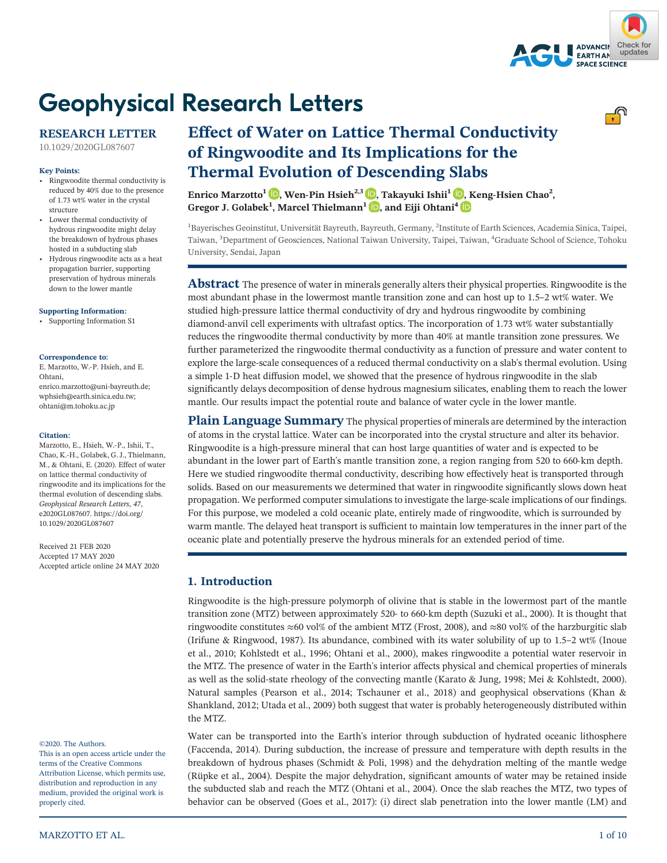

<u>. ೧</u>

# **Geophysical Research Letters**

# **RESEARCH LETTER**

[10.1029/2020GL087607](https://doi.org/10.1029/2020GL087607)

#### **Key Points:**

- Ringwoodite thermal conductivity is reduced by 40% due to the presence of 1.73 wt% water in the crystal structure
- Lower thermal conductivity of hydrous ringwoodite might delay the breakdown of hydrous phases hosted in a subducting slab
- Hydrous ringwoodite acts as a heat propagation barrier, supporting preservation of hydrous minerals down to the lower mantle

#### **[Supporting Information:](http://dx.doi.org/10.1029/2020GL087607)**

[•](http://dx.doi.org/10.1029/2020GL087607) Supporting Information: [Supporting Information S1](http://dx.doi.org/10.1029/2020GL087607)

#### **Correspondence to:**

E. Marzotto, W.‐P. Hsieh, and E. Ohtani, [enrico.marzotto@uni-bayreuth.de](mailto:enrico.marzotto@uni-bayreuth.de); [wphsieh@earth.sinica.edu.tw;](mailto:wphsieh@earth.sinica.edu.tw) [ohtani@m.tohoku.ac.jp](mailto:ohtani@m.tohoku.ac.jp)

#### **Citation:**

Marzotto, E., Hsieh, W.‐P., Ishii, T., Chao, K.‐H., Golabek, G. J., Thielmann, M., & Ohtani, E. (2020). Effect of water on lattice thermal conductivity of ringwoodite and its implications for the thermal evolution of descending slabs. *Geophysical Research Letters*, *47*, e2020GL087607. [https://doi.org/](https://doi.org/10.1029/2020GL087607) [10.1029/2020GL087607](https://doi.org/10.1029/2020GL087607)

Received 21 FEB 2020 Accepted 17 MAY 2020 Accepted article online 24 MAY 2020

#### ©2020. The Authors.

This is an open access article under the terms of the Creative Commons Attribution License, which permits use, distribution and reproduction in any medium, provided the original work is properly cited.

# **Effect of Water on Lattice Thermal Conductivity of Ringwoodite and Its Implications for the Thermal Evolution of Descending Slabs Enrico Marzotto<sup>1</sup> [,](https://orcid.org/0000-0002-3180-8462) Wen‐Pin Hsieh2,3 , Takayuki Ishii1 , Keng‐Hsien Chao<sup>2</sup> ,**

**Gregor J. Golabek1 , Marcel Thielmann<sup>1</sup> [,](https://orcid.org/0000-0003-1185-3730) and Eiji Ohtani<sup>4</sup>**

<sup>1</sup>Bayerisches Geoinstitut, Universität Bayreuth, Bayreuth, Germany, <sup>2</sup>Institute of Earth Sciences, Academia Sinica, Taipei, Taiwan, <sup>3</sup> Department of Geosciences, National Taiwan University, Taipei, Taiwan, <sup>4</sup> Graduate School of Science, Tohoku University, Sendai, Japan

**Abstract** The presence of water in minerals generally alters their physical properties. Ringwoodite is the most abundant phase in the lowermost mantle transition zone and can host up to 1.5–2 wt% water. We studied high-pressure lattice thermal conductivity of dry and hydrous ringwoodite by combining diamond‐anvil cell experiments with ultrafast optics. The incorporation of 1.73 wt% water substantially reduces the ringwoodite thermal conductivity by more than 40% at mantle transition zone pressures. We further parameterized the ringwoodite thermal conductivity as a function of pressure and water content to explore the large-scale consequences of a reduced thermal conductivity on a slab's thermal evolution. Using a simple 1‐D heat diffusion model, we showed that the presence of hydrous ringwoodite in the slab significantly delays decomposition of dense hydrous magnesium silicates, enabling them to reach the lower mantle. Our results impact the potential route and balance of water cycle in the lower mantle.

**Plain Language Summary** The physical properties of minerals are determined by the interaction of atoms in the crystal lattice. Water can be incorporated into the crystal structure and alter its behavior. Ringwoodite is a high‐pressure mineral that can host large quantities of water and is expected to be abundant in the lower part of Earth's mantle transition zone, a region ranging from 520 to 660‐km depth. Here we studied ringwoodite thermal conductivity, describing how effectively heat is transported through solids. Based on our measurements we determined that water in ringwoodite significantly slows down heat propagation. We performed computer simulations to investigate the large‐scale implications of our findings. For this purpose, we modeled a cold oceanic plate, entirely made of ringwoodite, which is surrounded by warm mantle. The delayed heat transport is sufficient to maintain low temperatures in the inner part of the oceanic plate and potentially preserve the hydrous minerals for an extended period of time.

# **1. Introduction**

Ringwoodite is the high-pressure polymorph of olivine that is stable in the lowermost part of the mantle transition zone (MTZ) between approximately 520‐ to 660‐km depth (Suzuki et al., 2000). It is thought that ringwoodite constitutes  $\approx 60$  vol% of the ambient MTZ (Frost, 2008), and  $\approx 80$  vol% of the harzburgitic slab (Irifune & Ringwood, 1987). Its abundance, combined with its water solubility of up to 1.5–2 wt% (Inoue et al., 2010; Kohlstedt et al., 1996; Ohtani et al., 2000), makes ringwoodite a potential water reservoir in the MTZ. The presence of water in the Earth's interior affects physical and chemical properties of minerals as well as the solid‐state rheology of the convecting mantle (Karato & Jung, 1998; Mei & Kohlstedt, 2000). Natural samples (Pearson et al., 2014; Tschauner et al., 2018) and geophysical observations (Khan & Shankland, 2012; Utada et al., 2009) both suggest that water is probably heterogeneously distributed within the MTZ.

Water can be transported into the Earth's interior through subduction of hydrated oceanic lithosphere (Faccenda, 2014). During subduction, the increase of pressure and temperature with depth results in the breakdown of hydrous phases (Schmidt & Poli, 1998) and the dehydration melting of the mantle wedge (Rüpke et al., 2004). Despite the major dehydration, significant amounts of water may be retained inside the subducted slab and reach the MTZ (Ohtani et al., 2004). Once the slab reaches the MTZ, two types of behavior can be observed (Goes et al., 2017): (i) direct slab penetration into the lower mantle (LM) and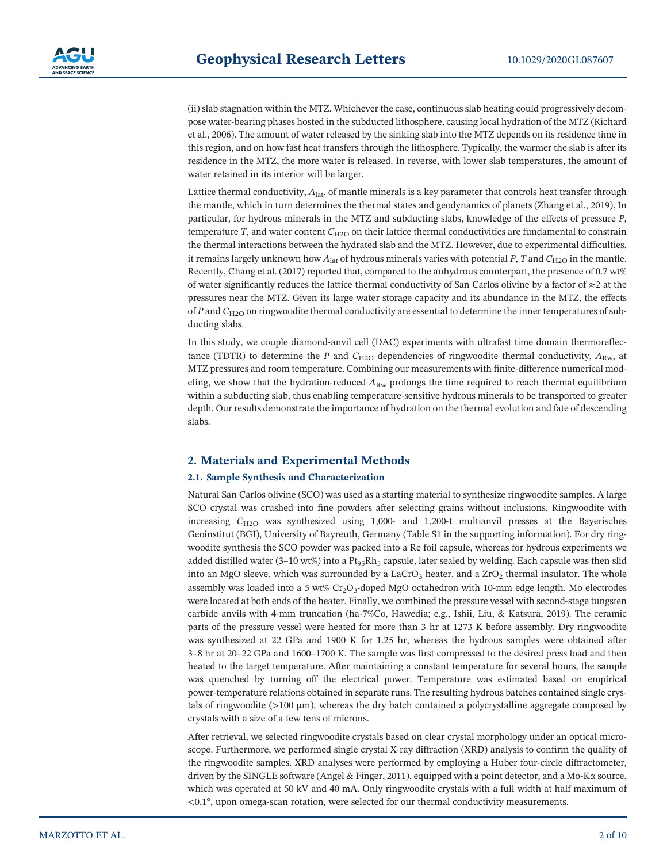(ii) slab stagnation within the MTZ. Whichever the case, continuous slab heating could progressively decompose water‐bearing phases hosted in the subducted lithosphere, causing local hydration of the MTZ (Richard et al., 2006). The amount of water released by the sinking slab into the MTZ depends on its residence time in this region, and on how fast heat transfers through the lithosphere. Typically, the warmer the slab is after its residence in the MTZ, the more water is released. In reverse, with lower slab temperatures, the amount of water retained in its interior will be larger.

Lattice thermal conductivity, *Λ*lat, of mantle minerals is a key parameter that controls heat transfer through the mantle, which in turn determines the thermal states and geodynamics of planets (Zhang et al., 2019). In particular, for hydrous minerals in the MTZ and subducting slabs, knowledge of the effects of pressure *P*, temperature  $T$ , and water content  $C_{H2O}$  on their lattice thermal conductivities are fundamental to constrain the thermal interactions between the hydrated slab and the MTZ. However, due to experimental difficulties, it remains largely unknown how  $\Lambda_{\text{lat}}$  of hydrous minerals varies with potential *P*, *T* and  $C_{\text{H2O}}$  in the mantle. Recently, Chang et al. (2017) reported that, compared to the anhydrous counterpart, the presence of 0.7 wt% of water significantly reduces the lattice thermal conductivity of San Carlos olivine by a factor of  $\approx$ 2 at the pressures near the MTZ. Given its large water storage capacity and its abundance in the MTZ, the effects of *P* and *C*H2O on ringwoodite thermal conductivity are essential to determine the inner temperatures of subducting slabs.

In this study, we couple diamond‐anvil cell (DAC) experiments with ultrafast time domain thermoreflectance (TDTR) to determine the *P* and  $C_{H2O}$  dependencies of ringwoodite thermal conductivity,  $\Lambda_{Rw}$ , at MTZ pressures and room temperature. Combining our measurements with finite-difference numerical modeling, we show that the hydration-reduced  $\Lambda_{\rm RW}$  prolongs the time required to reach thermal equilibrium within a subducting slab, thus enabling temperature‐sensitive hydrous minerals to be transported to greater depth. Our results demonstrate the importance of hydration on the thermal evolution and fate of descending slabs.

# **2. Materials and Experimental Methods**

### **2.1. Sample Synthesis and Characterization**

Natural San Carlos olivine (SCO) was used as a starting material to synthesize ringwoodite samples. A large SCO crystal was crushed into fine powders after selecting grains without inclusions. Ringwoodite with increasing *<sup>C</sup>*H2O was synthesized using 1,000‐ and 1,200‐t multianvil presses at the Bayerisches Geoinstitut (BGI), University of Bayreuth, Germany (Table S1 in the supporting information). For dry ringwoodite synthesis the SCO powder was packed into a Re foil capsule, whereas for hydrous experiments we added distilled water (3–10 wt%) into a  $Pt_{95}Rh_5$  capsule, later sealed by welding. Each capsule was then slid into an MgO sleeve, which was surrounded by a LaCrO<sub>3</sub> heater, and a  $ZrO<sub>2</sub>$  thermal insulator. The whole assembly was loaded into a 5 wt% Cr<sub>2</sub>O<sub>3</sub>-doped MgO octahedron with 10-mm edge length. Mo electrodes were located at both ends of the heater. Finally, we combined the pressure vessel with second-stage tungsten carbide anvils with 4‐mm truncation (ha‐7%Co, Hawedia; e.g., Ishii, Liu, & Katsura, 2019). The ceramic parts of the pressure vessel were heated for more than 3 hr at 1273 K before assembly. Dry ringwoodite was synthesized at 22 GPa and 1900 K for 1.25 hr, whereas the hydrous samples were obtained after <sup>3</sup>–8 hr at 20–22 GPa and 1600–1700 K. The sample was first compressed to the desired press load and then heated to the target temperature. After maintaining a constant temperature for several hours, the sample was quenched by turning off the electrical power. Temperature was estimated based on empirical power-temperature relations obtained in separate runs. The resulting hydrous batches contained single crystals of ringwoodite ( $>100 \mu m$ ), whereas the dry batch contained a polycrystalline aggregate composed by crystals with a size of a few tens of microns.

After retrieval, we selected ringwoodite crystals based on clear crystal morphology under an optical microscope. Furthermore, we performed single crystal X-ray diffraction (XRD) analysis to confirm the quality of the ringwoodite samples. XRD analyses were performed by employing a Huber four‐circle diffractometer, driven by the SINGLE software (Angel & Finger, 2011), equipped with a point detector, and a Mo‐K<sup>α</sup> source, which was operated at 50 kV and 40 mA. Only ringwoodite crystals with a full width at half maximum of <0.1°, upon omega‐scan rotation, were selected for our thermal conductivity measurements.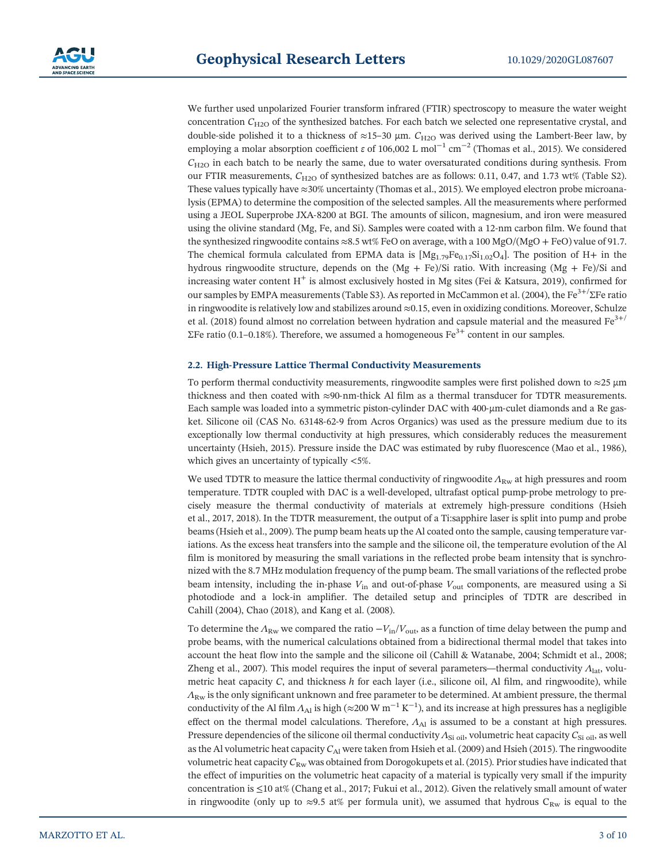We further used unpolarized Fourier transform infrared (FTIR) spectroscopy to measure the water weight concentration  $C_{H2O}$  of the synthesized batches. For each batch we selected one representative crystal, and double‐side polished it to a thickness of <sup>≈</sup>15–<sup>30</sup> <sup>μ</sup>m. *<sup>C</sup>*H2O was derived using the Lambert‐Beer law, by employing a molar absorption coefficient *ε* of 106,002 L mol<sup>-1</sup> cm<sup>-2</sup> (Thomas et al., 2015). We considered  $C_{\text{H2O}}$  in each batch to be nearly the same, due to water oversaturated conditions during synthesis. From our FTIR measurements,  $C_{H2O}$  of synthesized batches are as follows: 0.11, 0.47, and 1.73 wt% (Table S2). These values typically have ≈30% uncertainty (Thomas et al., 2015). We employed electron probe microanalysis (EPMA) to determine the composition of the selected samples. All the measurements where performed using a JEOL Superprobe JXA‐8200 at BGI. The amounts of silicon, magnesium, and iron were measured using the olivine standard (Mg, Fe, and Si). Samples were coated with a 12‐nm carbon film. We found that the synthesized ringwoodite contains  $\approx 8.5$  wt% FeO on average, with a 100 MgO/(MgO + FeO) value of 91.7. The chemical formula calculated from EPMA data is  $[Mg_{1.79}Fe_{0.17}Si_{1.02}O_4]$ . The position of H+ in the hydrous ringwoodite structure, depends on the  $(Mg + Fe)/Si$  ratio. With increasing  $(Mg + Fe)/Si$  and increasing water content  $H^+$  is almost exclusively hosted in Mg sites (Fei & Katsura, 2019), confirmed for our samples by EMPA measurements (Table S3). As reported in McCammon et al. (2004), the Fe3+/ΣFe ratio in ringwoodite is relatively low and stabilizes around ≈0.15, even in oxidizing conditions. Moreover, Schulze et al. (2018) found almost no correlation between hydration and capsule material and the measured  $\text{Fe}^{3+/-}$ ΣFe ratio (0.1–0.18%). Therefore, we assumed a homogeneous  $Fe<sup>3+</sup>$  content in our samples.

### **2.2. High‐Pressure Lattice Thermal Conductivity Measurements**

To perform thermal conductivity measurements, ringwoodite samples were first polished down to  $\approx$ 25  $\mu$ m thickness and then coated with <sup>≈</sup>90‐nm‐thick Al film as a thermal transducer for TDTR measurements. Each sample was loaded into a symmetric piston-cylinder DAC with 400-µm-culet diamonds and a Re gasket. Silicone oil (CAS No. 63148‐62‐9 from Acros Organics) was used as the pressure medium due to its exceptionally low thermal conductivity at high pressures, which considerably reduces the measurement uncertainty (Hsieh, 2015). Pressure inside the DAC was estimated by ruby fluorescence (Mao et al., 1986), which gives an uncertainty of typically <5%.

We used TDTR to measure the lattice thermal conductivity of ringwoodite  $\Lambda_{\rm RW}$  at high pressures and room temperature. TDTR coupled with DAC is a well-developed, ultrafast optical pump-probe metrology to precisely measure the thermal conductivity of materials at extremely high‐pressure conditions (Hsieh et al., 2017, 2018). In the TDTR measurement, the output of a Ti:sapphire laser is split into pump and probe beams (Hsieh et al., 2009). The pump beam heats up the Al coated onto the sample, causing temperature variations. As the excess heat transfers into the sample and the silicone oil, the temperature evolution of the Al film is monitored by measuring the small variations in the reflected probe beam intensity that is synchronized with the 8.7 MHz modulation frequency of the pump beam. The small variations of the reflected probe beam intensity, including the in‐phase *<sup>V</sup>*in and out‐of‐phase *<sup>V</sup>*out components, are measured using a Si photodiode and a lock‐in amplifier. The detailed setup and principles of TDTR are described in Cahill (2004), Chao (2018), and Kang et al. (2008).

To determine the  $\Lambda_{\rm RW}$  we compared the ratio  $-V_{\rm in}/V_{\rm out}$ , as a function of time delay between the pump and probe beams, with the numerical calculations obtained from a bidirectional thermal model that takes into account the heat flow into the sample and the silicone oil (Cahill & Watanabe, 2004; Schmidt et al., 2008; Zheng et al., 2007). This model requires the input of several parameters―thermal conductivity *<sup>Λ</sup>*lat, volumetric heat capacity *C*, and thickness *h* for each layer (i.e., silicone oil, Al film, and ringwoodite), while *Λ*Rw is the only significant unknown and free parameter to be determined. At ambient pressure, the thermal conductivity of the Al film *Λ*<sub>Al</sub> is high (≈200 W m<sup>−1</sup> K<sup>−1</sup>), and its increase at high pressures has a negligible effect on the thermal model calculations. Therefore,  $\Lambda_{\text{Al}}$  is assumed to be a constant at high pressures. Pressure dependencies of the silicone oil thermal conductivity *Λ*Si oil, volumetric heat capacity *C*Si oil, as well as the Al volumetric heat capacity  $C_{\text{Al}}$  were taken from Hsieh et al. (2009) and Hsieh (2015). The ringwoodite volumetric heat capacity *C*Rw was obtained from Dorogokupets et al. (2015). Prior studies have indicated that the effect of impurities on the volumetric heat capacity of a material is typically very small if the impurity concentration is ≤10 at% (Chang et al., 2017; Fukui et al., 2012). Given the relatively small amount of water in ringwoodite (only up to  $\approx 9.5$  at% per formula unit), we assumed that hydrous C<sub>Rw</sub> is equal to the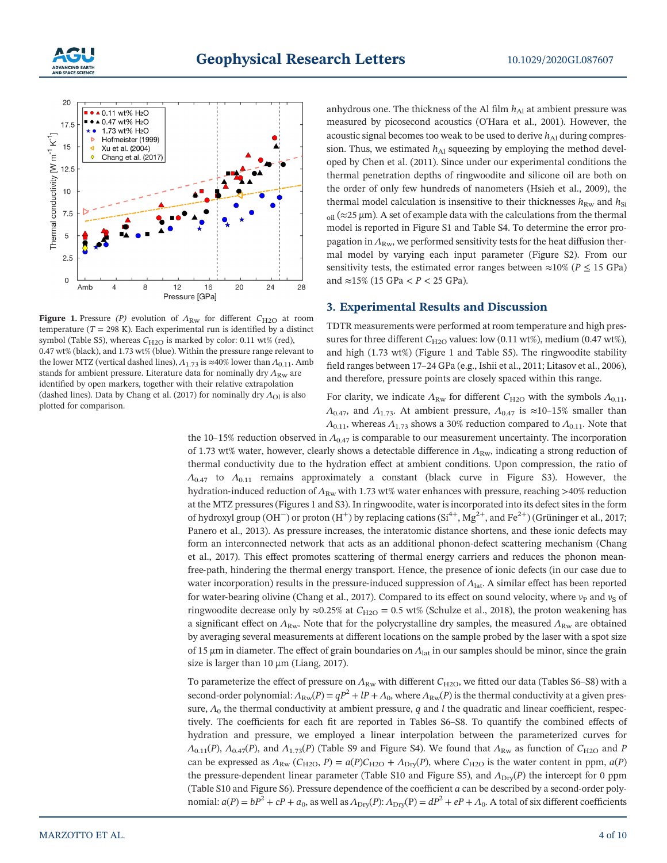



**Figure 1.** Pressure (P) evolution of  $Λ_{\text{Rw}}$  for different  $C_{\text{H2O}}$  at room temperature ( $T = 298$  K). Each experimental run is identified by a distinct symbol (Table S5), whereas  $C_{\text{H2O}}$  is marked by color: 0.11 wt% (red), 0.47 wt% (black), and 1.73 wt% (blue). Within the pressure range relevant to the lower MTZ (vertical dashed lines),  $Λ$ <sub>1.73</sub> is ≈40% lower than  $Λ$ <sub>0.11</sub>. Amb stands for ambient pressure. Literature data for nominally dry  $Λ_{\text{Rw}}$  are identified by open markers, together with their relative extrapolation (dashed lines). Data by Chang et al. (2017) for nominally dry  $Λ$ <sub>Ol</sub> is also plotted for comparison.

anhydrous one. The thickness of the Al film  $h_{\text{Al}}$  at ambient pressure was measured by picosecond acoustics (O'Hara et al., 2001). However, the acoustic signal becomes too weak to be used to derive  $h_{\rm Al}$  during compression. Thus, we estimated  $h_{\text{Al}}$  squeezing by employing the method developed by Chen et al. (2011). Since under our experimental conditions the thermal penetration depths of ringwoodite and silicone oil are both on the order of only few hundreds of nanometers (Hsieh et al., 2009), the thermal model calculation is insensitive to their thicknesses  $h_{\text{Rw}}$  and  $h_{\text{Si}}$  $_{oil}$  ( $\approx$ 25 μm). A set of example data with the calculations from the thermal model is reported in Figure S1 and Table S4. To determine the error propagation in  $\Lambda_{\text{Ruv}}$ , we performed sensitivity tests for the heat diffusion thermal model by varying each input parameter (Figure S2). From our sensitivity tests, the estimated error ranges between  $\approx 10\%$  ( $P \le 15$  GPa) and ≈15% (15 GPa < *P* < 25 GPa).

#### **3. Experimental Results and Discussion**

TDTR measurements were performed at room temperature and high pressures for three different  $C_{H2O}$  values: low (0.11 wt%), medium (0.47 wt%), and high (1.73 wt%) (Figure 1 and Table S5). The ringwoodite stability field ranges between 17-24 GPa (e.g., Ishii et al., 2011; Litasov et al., 2006), and therefore, pressure points are closely spaced within this range.

For clarity, we indicate  $\Lambda_{\text{Rw}}$  for different  $C_{\text{H2O}}$  with the symbols  $\Lambda_{0.11}$ , *Λ*<sub>0.47</sub>, and *Λ*<sub>1.73</sub>. At ambient pressure, *Λ*<sub>0.47</sub> is ≈10–15% smaller than *Λ*<sub>0.11</sub>, whereas *Λ*<sub>1.73</sub> shows a 30% reduction compared to *Λ*<sub>0.11</sub>. Note that

the 10–15% reduction observed in *<sup>Λ</sup>*0.47 is comparable to our measurement uncertainty. The incorporation of 1.73 wt% water, however, clearly shows a detectable difference in  $Λ_{\rm RW}$ , indicating a strong reduction of thermal conductivity due to the hydration effect at ambient conditions. Upon compression, the ratio of *Λ*0.47 to *Λ*0.11 remains approximately a constant (black curve in Figure S3). However, the hydration-induced reduction of  $Λ_{\text{Rw}}$  with 1.73 wt% water enhances with pressure, reaching >40% reduction at the MTZ pressures (Figures 1 and S3). In ringwoodite, water is incorporated into its defect sites in the form of hydroxyl group (OH<sup>−</sup>) or proton (H<sup>+</sup>) by replacing cations (Si<sup>4+</sup>, Mg<sup>2+</sup>, and Fe<sup>2+</sup>) (Grüninger et al., 2017; Panero et al., 2013). As pressure increases, the interatomic distance shortens, and these ionic defects may form an interconnected network that acts as an additional phonon-defect scattering mechanism (Chang et al., 2017). This effect promotes scattering of thermal energy carriers and reduces the phonon meanfree‐path, hindering the thermal energy transport. Hence, the presence of ionic defects (in our case due to water incorporation) results in the pressure-induced suppression of  $Λ$ <sub>lat</sub>. A similar effect has been reported for water-bearing olivine (Chang et al., 2017). Compared to its effect on sound velocity, where  $v_P$  and  $v_S$  of ringwoodite decrease only by ≈0.25% at *C*H2O = 0.5 wt% (Schulze et al., 2018), the proton weakening has a significant effect on  $Λ_{\text{Rw}}$ . Note that for the polycrystalline dry samples, the measured  $Λ_{\text{Rw}}$  are obtained by averaging several measurements at different locations on the sample probed by the laser with a spot size of 15 μm in diameter. The effect of grain boundaries on *Λ*lat in our samples should be minor, since the grain size is larger than 10  $\mu$ m (Liang, 2017).

To parameterize the effect of pressure on *Λ*<sub>Rw</sub> with different *C*<sub>H2O</sub>, we fitted our data (Tables S6–S8) with a second-order polynomial:  $Λ_{\text{RW}}(P) = qP^2 + IP + Λ_0$ , where  $Λ_{\text{RW}}(P)$  is the thermal conductivity at a given pressure,  $\Lambda_0$  the thermal conductivity at ambient pressure, *q* and *l* the quadratic and linear coefficient, respectively. The coefficients for each fit are reported in Tables S6–S8. To quantify the combined effects of hydration and pressure, we employed a linear interpolation between the parameterized curves for *Λ*<sub>0.11</sub>(*P*), *Λ*<sub>0.47</sub>(*P*), and *Λ*<sub>1.73</sub>(*P*) (Table S9 and Figure S4). We found that *Λ*<sub>Rw</sub> as function of *C*<sub>H2O</sub> and *P* can be expressed as  $\Lambda_{\text{Rw}}$  ( $C_{\text{H2O}}$ ,  $P$ ) =  $a(P)C_{\text{H2O}} + \Lambda_{\text{Dry}}(P)$ , where  $C_{\text{H2O}}$  is the water content in ppm,  $a(P)$ the pressure-dependent linear parameter (Table S10 and Figure S5), and  $Λ_{\text{Dry}}(P)$  the intercept for 0 ppm (Table S10 and Figure S6). Pressure dependence of the coefficient *<sup>a</sup>* can be described by a second‐order polynomial:  $a(P) = bP^2 + cP + a_0$ , as well as  $\Lambda_{\text{Dry}}(P)$ :  $\Lambda_{\text{Dry}}(P) = dP^2 + eP + \Lambda_0$ . A total of six different coefficients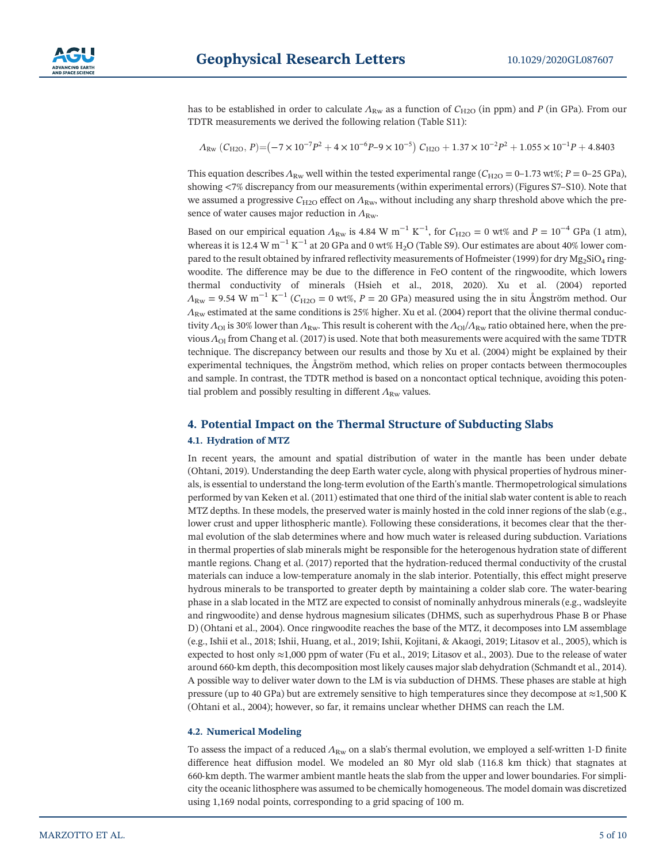

has to be established in order to calculate  $Λ_{\text{Rw}}$  as a function of  $C_{\text{H2O}}$  (in ppm) and *P* (in GPa). From our TDTR measurements we derived the following relation (Table S11): *P*<sup>2</sup> × 10−7 × 10<sup>-7</sup> *P*<sup>2</sup> + 4 × 10<sup>-6</sup> *P*<sup>-9</sup> × 10<sup>-5</sup>  $C_{\text{H2O}}$  + 1.37 × 10<sup>-2</sup> + 1.37 × 10<sup>-3</sup> + 4 × 10<sup>-6</sup> *P*<sup>-9</sup> × 10<sup>-5</sup>  $C_{\text{H2O}}$  + 1.37 × 10<sup>-2</sup>

$$
\varLambda_{\text{Rw}} \left( C_{\text{H2O}}, \, P \right) {=} \left( -7 \times 10^{-7} P^2 + 4 \times 10^{-6} P - 9 \times 10^{-5} \right) \, C_{\text{H2O}} + 1.37 \times 10^{-2} P^2 + 1.055 \times 10^{-1} P + 4.8403
$$

This equation describes  $\Lambda_{\rm RW}$  well within the tested experimental range ( $C_{\rm H2O} = 0-1.73$  wt%;  $P = 0-25$  GPa), showing <7% discrepancy from our measurements (within experimental errors) (Figures S7–S10). Note that we assumed a progressive *C*<sub>H2O</sub> effect on  $Λ_{\text{Rw}}$ , without including any sharp threshold above which the presence of water causes major reduction in  $Λ_{\text{Rw}}$ .

Based on our empirical equation  $\Lambda_{\text{Rw}}$  is 4.84 W m<sup>-1</sup> K<sup>-1</sup>, for  $C_{\text{H2O}} = 0$  wt% and  $P = 10^{-4}$  GPa (1 atm), whereas it is 12.4 W m<sup>-1</sup> K<sup>-1</sup> at 20 GPa and 0 wt% H<sub>2</sub>O (Table S9). Our estimates are about 40% lower compared to the result obtained by infrared reflectivity measurements of Hofmeister (1999) for dry  $Mg_2SiO_4$  ringwoodite. The difference may be due to the difference in FeO content of the ringwoodite, which lowers thermal conductivity of minerals (Hsieh et al., 2018, 2020). Xu et al. (2004) reported  $A_{\text{Rw}}$  = 9.54 W m<sup>-1</sup> K<sup>-1</sup> (*C*<sub>H2O</sub> = 0 wt%, *P* = 20 GPa) measured using the in situ Ångström method. Our *Λ*<sub>Rw</sub> estimated at the same conditions is 25% higher. Xu et al. (2004) report that the olivine thermal conductivity  $Λ_{\text{Ol}}$  is 30% lower than  $Λ_{\text{Rw}}$ . This result is coherent with the  $Λ_{\text{Ol}}/Λ_{\text{Rw}}$  ratio obtained here, when the previous *Λ*Ol from Chang et al. (2017) is used. Note that both measurements were acquired with the same TDTR technique. The discrepancy between our results and those by Xu et al. (2004) might be explained by their experimental techniques, the Ångström method, which relies on proper contacts between thermocouples and sample. In contrast, the TDTR method is based on a noncontact optical technique, avoiding this potential problem and possibly resulting in different  $\Lambda_{\rm RW}$  values.

# **4. Potential Impact on the Thermal Structure of Subducting Slabs 4.1. Hydration of MTZ**

In recent years, the amount and spatial distribution of water in the mantle has been under debate (Ohtani, 2019). Understanding the deep Earth water cycle, along with physical properties of hydrous minerals, is essential to understand the long‐term evolution of the Earth's mantle. Thermopetrological simulations performed by van Keken et al. (2011) estimated that one third of the initial slab water content is able to reach MTZ depths. In these models, the preserved water is mainly hosted in the cold inner regions of the slab (e.g., lower crust and upper lithospheric mantle). Following these considerations, it becomes clear that the thermal evolution of the slab determines where and how much water is released during subduction. Variations in thermal properties of slab minerals might be responsible for the heterogenous hydration state of different mantle regions. Chang et al. (2017) reported that the hydration-reduced thermal conductivity of the crustal materials can induce a low-temperature anomaly in the slab interior. Potentially, this effect might preserve hydrous minerals to be transported to greater depth by maintaining a colder slab core. The water‐bearing phase in a slab located in the MTZ are expected to consist of nominally anhydrous minerals (e.g., wadsleyite and ringwoodite) and dense hydrous magnesium silicates (DHMS, such as superhydrous Phase B or Phase D) (Ohtani et al., 2004). Once ringwoodite reaches the base of the MTZ, it decomposes into LM assemblage (e.g., Ishii et al., 2018; Ishii, Huang, et al., 2019; Ishii, Kojitani, & Akaogi, 2019; Litasov et al., 2005), which is expected to host only ≈1,000 ppm of water (Fu et al., 2019; Litasov et al., 2003). Due to the release of water around 660‐km depth, this decomposition most likely causes major slab dehydration (Schmandt et al., 2014). A possible way to deliver water down to the LM is via subduction of DHMS. These phases are stable at high pressure (up to 40 GPa) but are extremely sensitive to high temperatures since they decompose at  $\approx$ 1,500 K (Ohtani et al., 2004); however, so far, it remains unclear whether DHMS can reach the LM.

### **4.2. Numerical Modeling**

To assess the impact of a reduced  $Λ_{\text{Rw}}$  on a slab's thermal evolution, we employed a self-written 1-D finite difference heat diffusion model. We modeled an 80 Myr old slab (116.8 km thick) that stagnates at 660‐km depth. The warmer ambient mantle heats the slab from the upper and lower boundaries. For simplicity the oceanic lithosphere was assumed to be chemically homogeneous. The model domain was discretized using 1,169 nodal points, corresponding to a grid spacing of 100 m.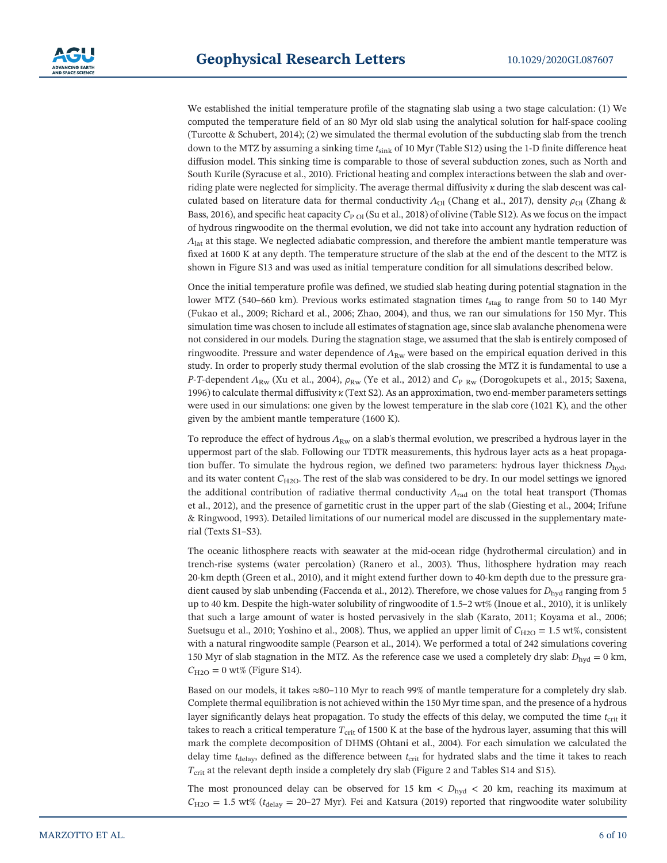We established the initial temperature profile of the stagnating slab using a two stage calculation: (1) We computed the temperature field of an 80 Myr old slab using the analytical solution for half‐space cooling (Turcotte & Schubert, 2014); (2) we simulated the thermal evolution of the subducting slab from the trench down to the MTZ by assuming a sinking time *<sup>t</sup>*sink of 10 Myr (Table S12) using the 1‐<sup>D</sup> finite difference heat diffusion model. This sinking time is comparable to those of several subduction zones, such as North and South Kurile (Syracuse et al., 2010). Frictional heating and complex interactions between the slab and overriding plate were neglected for simplicity. The average thermal diffusivity *κ* during the slab descent was calculated based on literature data for thermal conductivity  $Λ_{\text{OI}}$  (Chang et al., 2017), density  $ρ_{\text{OI}}$  (Zhang & Bass, 2016), and specific heat capacity  $C_{P O I}$  (Su et al., 2018) of olivine (Table S12). As we focus on the impact of hydrous ringwoodite on the thermal evolution, we did not take into account any hydration reduction of *Λ*lat at this stage. We neglected adiabatic compression, and therefore the ambient mantle temperature was fixed at 1600 K at any depth. The temperature structure of the slab at the end of the descent to the MTZ is shown in Figure S13 and was used as initial temperature condition for all simulations described below.

Once the initial temperature profile was defined, we studied slab heating during potential stagnation in the lower MTZ (540–660 km). Previous works estimated stagnation times *<sup>t</sup>*stag to range from 50 to 140 Myr (Fukao et al., 2009; Richard et al., 2006; Zhao, 2004), and thus, we ran our simulations for 150 Myr. This simulation time was chosen to include all estimates of stagnation age, since slab avalanche phenomena were not considered in our models. During the stagnation stage, we assumed that the slab is entirely composed of ringwoodite. Pressure and water dependence of *Λ*Rw were based on the empirical equation derived in this study. In order to properly study thermal evolution of the slab crossing the MTZ it is fundamental to use a *P*-*T*-dependent  $Λ_{\text{Rw}}$  (Xu et al., 2004),  $ρ_{\text{Rw}}$  (Ye et al., 2012) and  $C_{\text{P-Rw}}$  (Dorogokupets et al., 2015; Saxena, 1996) to calculate thermal diffusivity *<sup>κ</sup>* (Text S2). As an approximation, two end‐member parameters settings were used in our simulations: one given by the lowest temperature in the slab core (1021 K), and the other given by the ambient mantle temperature (1600 K).

To reproduce the effect of hydrous  $Λ_{\text{RW}}$  on a slab's thermal evolution, we prescribed a hydrous layer in the uppermost part of the slab. Following our TDTR measurements, this hydrous layer acts as a heat propagation buffer. To simulate the hydrous region, we defined two parameters: hydrous layer thickness  $D_{\text{hyd}}$ , and its water content  $C_{H2O}$ . The rest of the slab was considered to be dry. In our model settings we ignored the additional contribution of radiative thermal conductivity *Λ*rad on the total heat transport (Thomas et al., 2012), and the presence of garnetitic crust in the upper part of the slab (Giesting et al., 2004; Irifune & Ringwood, 1993). Detailed limitations of our numerical model are discussed in the supplementary material (Texts S1–S3).

The oceanic lithosphere reacts with seawater at the mid‐ocean ridge (hydrothermal circulation) and in trench-rise systems (water percolation) (Ranero et al., 2003). Thus, lithosphere hydration may reach 20‐km depth (Green et al., 2010), and it might extend further down to 40‐km depth due to the pressure gradient caused by slab unbending (Faccenda et al., 2012). Therefore, we chose values for *D*<sub>hyd</sub> ranging from 5 up to 40 km. Despite the high‐water solubility of ringwoodite of 1.5–2 wt% (Inoue et al., 2010), it is unlikely that such a large amount of water is hosted pervasively in the slab (Karato, 2011; Koyama et al., 2006; Suetsugu et al., 2010; Yoshino et al., 2008). Thus, we applied an upper limit of  $C_{H2O} = 1.5$  wt%, consistent with a natural ringwoodite sample (Pearson et al., 2014). We performed a total of 242 simulations covering 150 Myr of slab stagnation in the MTZ. As the reference case we used a completely dry slab:  $D_{\text{hyd}} = 0$  km,  $C_{\text{H2O}} = 0 \text{ wt\%}$  (Figure S14).

Based on our models, it takes <sup>≈</sup>80–110 Myr to reach 99% of mantle temperature for a completely dry slab. Complete thermal equilibration is not achieved within the 150 Myr time span, and the presence of a hydrous layer significantly delays heat propagation. To study the effects of this delay, we computed the time *t*<sub>crit</sub> it takes to reach a critical temperature  $T_{\text{crit}}$  of 1500 K at the base of the hydrous layer, assuming that this will mark the complete decomposition of DHMS (Ohtani et al., 2004). For each simulation we calculated the delay time *t*<sub>delay</sub>, defined as the difference between *t*<sub>crit</sub> for hydrated slabs and the time it takes to reach *T*<sub>crit</sub> at the relevant depth inside a completely dry slab (Figure 2 and Tables S14 and S15).

The most pronounced delay can be observed for 15 km  $\langle D_{\text{hyd}} \rangle$  20 km, reaching its maximum at  $C_{\text{H2O}} = 1.5$  wt% ( $t_{\text{delay}} = 20{\text -}27$  Myr). Fei and Katsura (2019) reported that ringwoodite water solubility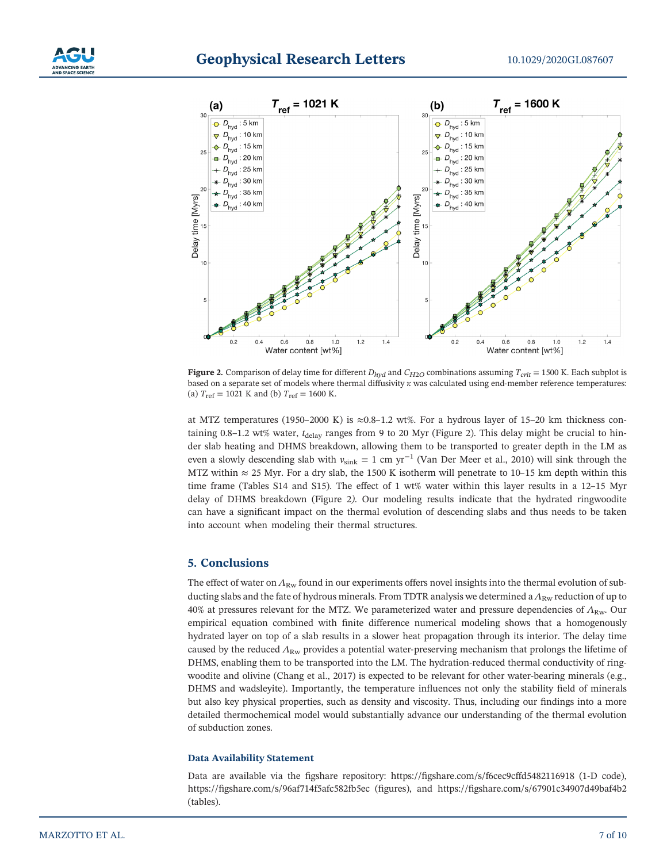# **Geophysical Research Letters** 10.1029/2020GL087607





**Figure 2.** Comparison of delay time for different  $D_{hyd}$  and  $C_{H2O}$  combinations assuming  $T_{crit}$  = 1500 K. Each subplot is based on a separate set of models where thermal diffusivity *<sup>κ</sup>* was calculated using end‐member reference temperatures: (a)  $T_{\text{ref}} = 1021 \text{ K}$  and (b)  $T_{\text{ref}} = 1600 \text{ K}.$ 

at MTZ temperatures (1950–2000 K) is  $\approx 0.8$ –1.2 wt%. For a hydrous layer of 15–20 km thickness containing 0.8–1.2 wt% water, *t*<sub>delay</sub> ranges from 9 to 20 Myr (Figure 2). This delay might be crucial to hinder slab heating and DHMS breakdown, allowing them to be transported to greater depth in the LM as even a slowly descending slab with  $v_{\text{sink}} = 1$  cm yr<sup>-1</sup> (Van Der Meer et al., 2010) will sink through the MTZ within  $\approx$  25 Myr. For a dry slab, the 1500 K isotherm will penetrate to 10–15 km depth within this time frame (Tables S14 and S15). The effect of 1 wt% water within this layer results in a 12–15 Myr delay of DHMS breakdown (Figure 2*)*. Our modeling results indicate that the hydrated ringwoodite can have a significant impact on the thermal evolution of descending slabs and thus needs to be taken into account when modeling their thermal structures.

## **5. Conclusions**

The effect of water on  $Λ_{\text{Rw}}$  found in our experiments offers novel insights into the thermal evolution of subducting slabs and the fate of hydrous minerals. From TDTR analysis we determined a  $Λ_{\text{Rw}}$  reduction of up to 40% at pressures relevant for the MTZ. We parameterized water and pressure dependencies of  $Λ_{\text{Rw}}$ . Our empirical equation combined with finite difference numerical modeling shows that a homogenously hydrated layer on top of a slab results in a slower heat propagation through its interior. The delay time caused by the reduced *<sup>Λ</sup>*Rw provides a potential water‐preserving mechanism that prolongs the lifetime of DHMS, enabling them to be transported into the LM. The hydration-reduced thermal conductivity of ringwoodite and olivine (Chang et al., 2017) is expected to be relevant for other water-bearing minerals (e.g., DHMS and wadsleyite). Importantly, the temperature influences not only the stability field of minerals but also key physical properties, such as density and viscosity. Thus, including our findings into a more detailed thermochemical model would substantially advance our understanding of the thermal evolution of subduction zones.

#### **Data Availability Statement**

Data are available via the figshare repository: https://fi[gshare.com/s/f6cec9cffd5482116918](https://figshare.com/s/f6cec9cffd5482116918) (1‐D code), https://fi[gshare.com/s/96af714f5afc582fb5ec](https://figshare.com/s/96af714f5afc582fb5ec) (figures), and https://fi[gshare.com/s/67901c34907d49baf4b2](https://figshare.com/s/67901c34907d49baf4b2) (tables).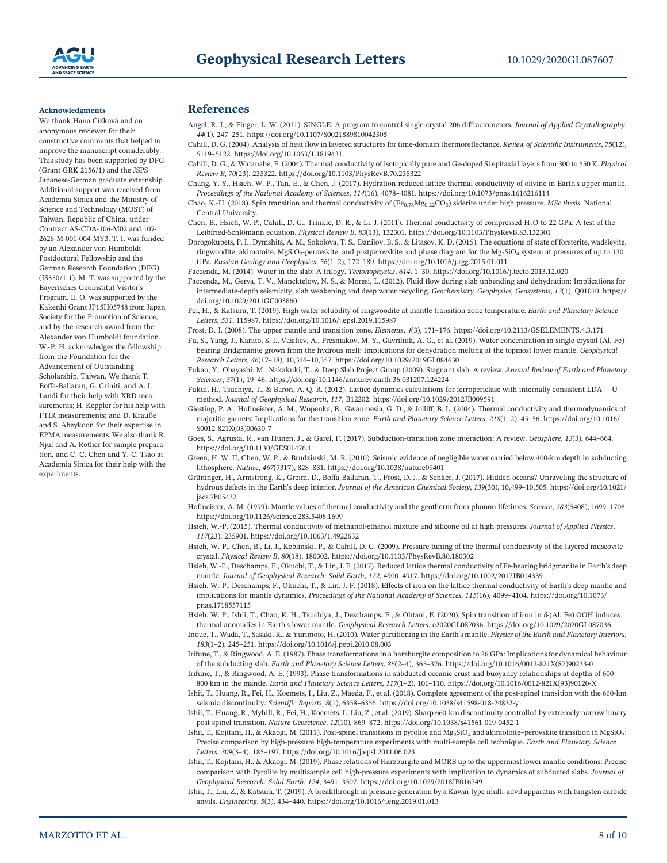

#### **Acknowledgments**

We thank Hana Čížková and an anonymous reviewer for their constructive comments that helped to improve the manuscript considerably. This study has been supported by DFG (Grant GRK 2156/1) and the JSPS Japanese‐German graduate externship. Additional support was received from Academia Sinica and the Ministry of Science and Technology (MOST) of Taiwan, Republic of China, under Contract AS‐CDA‐106‐M02 and 107‐ <sup>2628</sup>‐M‐001‐004‐MY3. T. I. was funded by an Alexander von Humboldt Postdoctoral Fellowship and the German Research Foundation (DFG) (IS350/1‐1). M. T. was supported by the Bayerisches Geoinstitut Visitor's Program. E. O. was supported by the Kakenhi Grant JP15H05748 from Japan Society for the Promotion of Science, and by the research award from the Alexander von Humboldt foundation. W.‐P. H. acknowledges the fellowship from the Foundation for the Advancement of Outstanding Scholarship, Taiwan. We thank T. Boffa‐Ballaran, G. Criniti, and A. I. Landi for their help with XRD measurements; H. Keppler for his help with FTIR measurements; and D. Krauße and S. Abeykoon for their expertise in EPMA measurements. We also thank R. Njul and A. Rother for sample preparation, and C.‐C. Chen and Y.‐C. Tsao at Academia Sinica for their help with the experiments.

#### **References**

- Angel, R. J., & Finger, L. W. (2011). SINGLE: A program to control single‐crystal 206 diffractometers. *Journal of Applied Crystallography*, *<sup>44</sup>*(1), 247–251.<https://doi.org/10.1107/S0021889810042305>
- Cahill, D. G. (2004). Analysis of heat flow in layered structures for time‐domain thermoreflectance. *Review of Scientific Instruments*, *<sup>75</sup>*(12), <sup>5119</sup>–5122.<https://doi.org/10.1063/1.1819431>
- Cahill, D. G., & Watanabe, F. (2004). Thermal conductivity of isotopically pure and Ge‐doped Si epitaxial layers from 300 to 550 K. *Physical Review B*, *70*(23), 235322.<https://doi.org/10.1103/PhysRevB.70.235322>
- Chang, Y. Y., Hsieh, W. P., Tan, E., & Chen, J. (2017). Hydration‐reduced lattice thermal conductivity of olivine in Earth's upper mantle. *Proceedings of the National Academy of Sciences*, *<sup>114</sup>*(16), 4078–4081.<https://doi.org/10.1073/pnas.1616216114>
- Chao, K.-H. (2018). Spin transition and thermal conductivity of (Fe<sub>0.78</sub>Mg<sub>0.22</sub>CO<sub>3</sub>) siderite under high pressure. *MSc thesis*. National Central University.
- Chen, B., Hsieh, W. P., Cahill, D. G., Trinkle, D. R., & Li, J. (2011). Thermal conductivity of compressed H<sub>2</sub>O to 22 GPa: A test of the Leibfried‐Schlömann equation. *Physical Review B*, *<sup>83</sup>*(13), 132301.<https://doi.org/10.1103/PhysRevB.83.132301>
- Dorogokupets, P. I., Dymshits, A. M., Sokolova, T. S., Danilov, B. S., & Litasov, K. D. (2015). The equations of state of forsterite, wadsleyite, ringwoodite, akimotoite, MgSiO<sub>3</sub>-perovskite, and postperovskite and phase diagram for the Mg<sub>2</sub>SiO<sub>4</sub> system at pressures of up to 130 GPa. *Russian Geology and Geophysics*, *<sup>56</sup>*(1–2), 172–189.<https://doi.org/10.1016/j.rgg.2015.01.011>
- Faccenda, M. (2014). Water in the slab: A trilogy. *Tectonophysics*, *<sup>614</sup>*, 1–30.<https://doi.org/10.1016/j.tecto.2013.12.020>
- Faccenda, M., Gerya, T. V., Mancktelow, N. S., & Moresi, L. (2012). Fluid flow during slab unbending and dehydration: Implications for intermediate‐depth seismicity, slab weakening and deep water recycling. *Geochemistry, Geophysics, Geosystems*, *<sup>13</sup>*(1), Q01010. [https://](https://doi.org/10.1029/2011GC003860) [doi.org/10.1029/2011GC003860](https://doi.org/10.1029/2011GC003860)
- Fei, H., & Katsura, T. (2019). High water solubility of ringwoodite at mantle transition zone temperature. *Earth and Planetary Science Letters*, *531*, 115987.<https://doi.org/10.1016/j.epsl.2019.115987>
- Frost, D. J. (2008). The upper mantle and transition zone. *Elements*, *<sup>4</sup>*(3), 171–176.<https://doi.org/10.2113/GSELEMENTS.4.3.171>
	- Fu, S., Yang, J., Karato, S. I., Vasiliev, A., Presniakov, M. Y., Gavriliuk, A. G., et al. (2019). Water concentration in single‐crystal (Al, Fe)‐ bearing Bridgmanite grown from the hydrous melt: Implications for dehydration melting at the topmost lower mantle. *Geophysical Research Letters*, *<sup>46</sup>*(17–18), 10,346–10,357.<https://doi.org/10.1029/2019GL084630>
- Fukao, Y., Obayashi, M., Nakakuki, T., & Deep Slab Project Group (2009). Stagnant slab: A review. *Annual Review of Earth and Planetary Sciences*, *<sup>37</sup>*(1), 19–46.<https://doi.org/10.1146/annurev.earth.36.031207.124224>
- Fukui, H., Tsuchiya, T., & Baron, A. Q. R. (2012). Lattice dynamics calculations for ferropericlase with internally consistent LDA + U method. *Journal of Geophysical Research*, *117*, B12202.<https://doi.org/10.1029/2012JB009591>
- Giesting, P. A., Hofmeister, A. M., Wopenka, B., Gwanmesia, G. D., & Jolliff, B. L. (2004). Thermal conductivity and thermodynamics of majoritic garnets: Implications for the transition zone. *Earth and Planetary Science Letters*, *<sup>218</sup>*(1–2), 45–56. [https://doi.org/10.1016/](https://doi.org/10.1016/S0012-821X(03)00630-7) [S0012-821X\(03\)00630-7](https://doi.org/10.1016/S0012-821X(03)00630-7)
- Goes, S., Agrusta, R., van Hunen, J., & Garel, F. (2017). Subduction‐transition zone interaction: A review. *Geosphere*, *<sup>13</sup>*(3), 644–664. <https://doi.org/10.1130/GES01476.1>
- Green, H. W. II, Chen, W. P., & Brudzinski, M. R. (2010). Seismic evidence of negligible water carried below 400‐km depth in subducting lithosphere. *Nature*, *<sup>467</sup>*(7317), 828–831.<https://doi.org/10.1038/nature09401>
- Grüninger, H., Armstrong, K., Greim, D., Boffa‐Ballaran, T., Frost, D. J., & Senker, J. (2017). Hidden oceans? Unraveling the structure of hydrous defects in the Earth's deep interior. *Journal of the American Chemical Society*, *<sup>139</sup>*(30), 10,499–10,505. [https://doi.org/10.1021/](https://doi.org/10.1021/jacs.7b05432) [jacs.7b05432](https://doi.org/10.1021/jacs.7b05432)
- Hofmeister, A. M. (1999). Mantle values of thermal conductivity and the geotherm from phonon lifetimes. *Science*, *<sup>283</sup>*(5408), 1699–1706. <https://doi.org/10.1126/science.283.5408.1699>
- Hsieh, W.‐P. (2015). Thermal conductivity of methanol‐ethanol mixture and silicone oil at high pressures. *Journal of Applied Physics*, *117*(23), 235901.<https://doi.org/10.1063/1.4922632>
- Hsieh, W.‐P., Chen, B., Li, J., Keblinski, P., & Cahill, D. G. (2009). Pressure tuning of the thermal conductivity of the layered muscovite crystal. *Physical Review B*, *80*(18), 180302.<https://doi.org/10.1103/PhysRevB.80.180302>
- Hsieh, W.-P., Deschamps, F., Okuchi, T., & Lin, J. F. (2017). Reduced lattice thermal conductivity of Fe-bearing bridgmanite in Earth's deep mantle. *Journal of Geophysical Research: Solid Earth*, *<sup>122</sup>*, 4900–4917.<https://doi.org/10.1002/2017JB014339>
- Hsieh, W.‐P., Deschamps, F., Okuchi, T., & Lin, J. F. (2018). Effects of iron on the lattice thermal conductivity of Earth's deep mantle and implications for mantle dynamics. *Proceedings of the National Academy of Sciences*, *<sup>115</sup>*(16), 4099–4104. [https://doi.org/10.1073/](https://doi.org/10.1073/pnas.1718557115) [pnas.1718557115](https://doi.org/10.1073/pnas.1718557115)
- Hsieh, W. P., Ishii, T., Chao, K. H., Tsuchiya, J., Deschamps, F., & Ohtani, E. (2020). Spin transition of iron in <sup>δ</sup>‐(Al, Fe) OOH induces thermal anomalies in Earth's lower mantle. *Geophysical Research Letters*, e2020GL087036.<https://doi.org/10.1029/2020GL087036>
- Inoue, T., Wada, T., Sasaki, R., & Yurimoto, H. (2010). Water partitioning in the Earth's mantle. *Physics of the Earth and Planetary Interiors*, *<sup>183</sup>*(1–2), 245–251.<https://doi.org/10.1016/j.pepi.2010.08.003>
- Irifune, T., & Ringwood, A. E. (1987). Phase transformations in a harzburgite composition to 26 GPa: Implications for dynamical behaviour of the subducting slab. *Earth and Planetary Science Letters*, *<sup>86</sup>*(2–4), 365–376. [https://doi.org/10.1016/0012-821X\(87\)90233-0](https://doi.org/10.1016/0012-821X(87)90233-0)
- Irifune, T., & Ringwood, A. E. (1993). Phase transformations in subducted oceanic crust and buoyancy relationships at depths of 600– 800 km in the mantle. *Earth and Planetary Science Letters*, *<sup>117</sup>*(1–2), 101–110. [https://doi.org/10.1016/0012-821X\(93\)90120-X](https://doi.org/10.1016/0012-821X(93)90120-X)
- Ishii, T., Huang, R., Fei, H., Koemets, I., Liu, Z., Maeda, F., et al. (2018). Complete agreement of the post‐spinel transition with the 660‐km seismic discontinuity. *Scientific Reports*, *<sup>8</sup>*(1), 6358–6356.<https://doi.org/10.1038/s41598-018-24832-y>
- Ishii, T., Huang, R., Myhill, R., Fei, H., Koemets, I., Liu, Z., et al. (2019). Sharp 660‐km discontinuity controlled by extremely narrow binary post‐spinel transition. *Nature Geoscience*, *<sup>12</sup>*(10), 869–872.<https://doi.org/10.1038/s41561-019-0452-1>
- Ishii, T., Kojitani, H., & Akaogi, M. (2011). Post-spinel transitions in pyrolite and  $Mg_2SiO_4$  and akimotoite–perovskite transition in MgSiO<sub>3</sub>: Precise comparison by high‐pressure high‐temperature experiments with multi‐sample cell technique. *Earth and Planetary Science Letters*, *<sup>309</sup>*(3–4), 185–197.<https://doi.org/10.1016/j.epsl.2011.06.023>
- Ishii, T., Kojitani, H., & Akaogi, M. (2019). Phase relations of Harzburgite and MORB up to the uppermost lower mantle conditions: Precise comparison with Pyrolite by multisample cell high‐pressure experiments with implication to dynamics of subducted slabs. *Journal of Geophysical Research: Solid Earth*, *<sup>124</sup>*, 3491–3507.<https://doi.org/10.1029/2018JB016749>
- Ishii, T., Liu, Z., & Katsura, T. (2019). A breakthrough in pressure generation by a Kawai‐type multi‐anvil apparatus with tungsten carbide anvils. *Engineering*, *<sup>5</sup>*(3), 434–440.<https://doi.org/10.1016/j.eng.2019.01.013>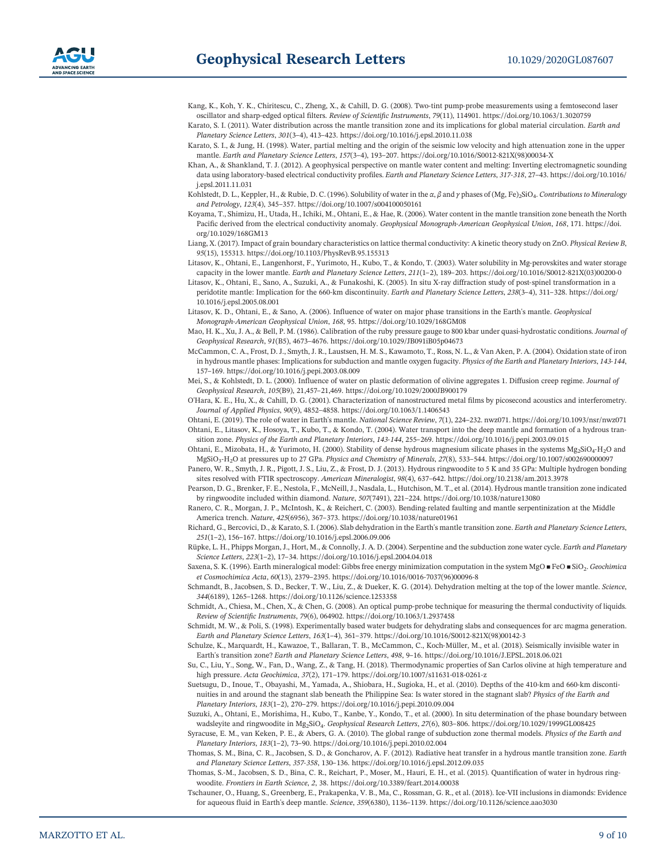- Kang, K., Koh, Y. K., Chiritescu, C., Zheng, X., & Cahill, D. G. (2008). Two-tint pump-probe measurements using a femtosecond laser oscillator and sharp‐edged optical filters. *Review of Scientific Instruments*, *<sup>79</sup>*(11), 114901.<https://doi.org/10.1063/1.3020759>
- Karato, S. I. (2011). Water distribution across the mantle transition zone and its implications for global material circulation. *Earth and Planetary Science Letters*, *<sup>301</sup>*(3–4), 413–423.<https://doi.org/10.1016/j.epsl.2010.11.038>
- Karato, S. I., & Jung, H. (1998). Water, partial melting and the origin of the seismic low velocity and high attenuation zone in the upper mantle. *Earth and Planetary Science Letters*, *<sup>157</sup>*(3–4), 193–207. [https://doi.org/10.1016/S0012-821X\(98\)00034-X](https://doi.org/10.1016/S0012-821X(98)00034-X)
- Khan, A., & Shankland, T. J. (2012). A geophysical perspective on mantle water content and melting: Inverting electromagnetic sounding data using laboratory‐based electrical conductivity profiles. *Earth and Planetary Science Letters*, *<sup>317</sup>‐318*, 27–43. [https://doi.org/10.1016/](https://doi.org/10.1016/j.epsl.2011.11.031) [j.epsl.2011.11.031](https://doi.org/10.1016/j.epsl.2011.11.031)
- Kohlstedt, D. L., Keppler, H., & Rubie, D. C. (1996). Solubility of water in the *α*,  $β$  and  $γ$  phases of (Mg, Fe)<sub>2</sub>SiO<sub>4</sub>. *Contributions to Mineralogy and Petrology*, *<sup>123</sup>*(4), 345–357.<https://doi.org/10.1007/s004100050161>
- Koyama, T., Shimizu, H., Utada, H., Ichiki, M., Ohtani, E., & Hae, R. (2006). Water content in the mantle transition zone beneath the North Pacific derived from the electrical conductivity anomaly. *Geophysical Monograph‐American Geophysical Union*, *<sup>168</sup>*, 171. [https://doi.](https://doi.org/10.1029/168GM13) [org/10.1029/168GM13](https://doi.org/10.1029/168GM13)
- Liang, X. (2017). Impact of grain boundary characteristics on lattice thermal conductivity: A kinetic theory study on ZnO. *Physical Review B*, *95*(15), 155313.<https://doi.org/10.1103/PhysRevB.95.155313>
- Litasov, K., Ohtani, E., Langenhorst, F., Yurimoto, H., Kubo, T., & Kondo, T. (2003). Water solubility in Mg-perovskites and water storage capacity in the lower mantle. *Earth and Planetary Science Letters*, *<sup>211</sup>*(1–2), 189–203. [https://doi.org/10.1016/S0012-821X\(03\)00200-0](https://doi.org/10.1016/S0012-821X(03)00200-0)
- Litasov, K., Ohtani, E., Sano, A., Suzuki, A., & Funakoshi, K. (2005). In situ X‐ray diffraction study of post‐spinel transformation in a peridotite mantle: Implication for the 660‐km discontinuity. *Earth and Planetary Science Letters*, *<sup>238</sup>*(3–4), 311–328. [https://doi.org/](https://doi.org/10.1016/j.epsl.2005.08.001) [10.1016/j.epsl.2005.08.001](https://doi.org/10.1016/j.epsl.2005.08.001)
- Litasov, K. D., Ohtani, E., & Sano, A. (2006). Influence of water on major phase transitions in the Earth's mantle. *Geophysical* peridotite mantie: implication for the 660-km discontinuity*. Earth and Planetary Sc.*<br>10.1016/j.epsl.2005.08.001<br>asov, K. D., Ohtani, E., & Sano, A. (2006). Influence of water on major phase transit<br>*Monograph-American Ge* Monograph-American Geophysical Union, 168, 95. https://doi.org/10.1029/168GM08<br>Mao, H. K., Xu, J. A., & Bell, P. M. (1986). Calibration of the ruby pressure gauge to 800 kbar under quasi-hydrostatic conditions. *Journal of*
- *Geophysical Research*, *<sup>91</sup>*(B5), 4673–4676.<https://doi.org/10.1029/JB091iB05p04673>
- McCammon, C. A., Frost, D. J., Smyth, J. R., Laustsen, H. M. S., Kawamoto, T., Ross, N. L., & Van Aken, P. A. (2004). Oxidation state of iron io, H. K., Xu, J. A., & Bell, P. M. (1986). Calibration of the ruby pressure gauge to 800 kbar under quasi-hydrostatic conditions. *Journal of*<br>*Geophysical Research, 91*(B5), 4673–4676. https://doi.org/10.1029/JB091iB05p0 in hydrous mantle phases: Implications for subduction and mantle oxygen fugacity. Physics of the Earth and Planetary Interiors, 143-144, 157-169.<https://doi.org/10.1016/j.pepi.2003.08.009>
- Mei, S., & Kohlstedt, D. L. (2000). Influence of water on plastic deformation of olivine aggregates 1. Diffusion creep regime. *Journal of Geophysical Research*, *<sup>105</sup>*(B9), 21,457–21,469.<https://doi.org/10.1029/2000JB900179>
- O'Hara, K. E., Hu, X., & Cahill, D. G. (2001). Characterization of nanostructured metal films by picosecond acoustics and interferometry. *Journal of Applied Physics*, *<sup>90</sup>*(9), 4852–4858.<https://doi.org/10.1063/1.1406543>
- Journal of Applied Physics, 90(9), 4852–4858. https://doi.org/10.1063/1.1406543<br>Ohtani, E. (2019). The role of water in Earth's mantle. National Science Review, 7(1), 224–232. nwz071.<https://doi.org/10.1093/nsr/nwz071><br>Oht Ohtani, E., Litasov, K., Hosoya, T., Kubo, T., & Kondo, T. (2004). Water transport into the deep mantle and formation of a hydrous tran-
- sition zone. Physics of the Earth and Planetary Interiors, 143-144, 255-269. https://doi.org/10.1016/j.pepi.2003.09.015<br>Ohtani, E., Mizobata, H., & Yurimoto, H. (2000). Stability of dense hydrous magnesium silicate phases MgSiO3‐H2O at pressures up to 27 GPa. *Physics and Chemistry of Minerals*, *<sup>27</sup>*(8), 533–544.<https://doi.org/10.1007/s002690000097>
- Panero, W. R., Smyth, J. R., Pigott, J. S., Liu, Z., & Frost, D. J. (2013). Hydrous ringwoodite to 5 K and 35 GPa: Multiple hydrogen bonding sites resolved with FTIR spectroscopy. *American Mineralogist*, *<sup>98</sup>*(4), 637–642.<https://doi.org/10.2138/am.2013.3978>
- Pearson, D. G., Brenker, F. E., Nestola, F., McNeill, J., Nasdala, L., Hutchison, M. T., et al. (2014). Hydrous mantle transition zone indicated by ringwoodite included within diamond. *Nature*, *<sup>507</sup>*(7491), 221–224.<https://doi.org/10.1038/nature13080>
- Ranero, C. R., Morgan, J. P., McIntosh, K., & Reichert, C. (2003). Bending-related faulting and mantle serpentinization at the Middle America trench. *Nature*, *<sup>425</sup>*(6956), 367–373.<https://doi.org/10.1038/nature01961>
- Richard, G., Bercovici, D., & Karato, S. I. (2006). Slab dehydration in the Earth's mantle transition zone. *Earth and Planetary Science Letters*, *<sup>251</sup>*(1–2), 156–167.<https://doi.org/10.1016/j.epsl.2006.09.006>
- Rüpke, L. H., Phipps Morgan, J., Hort, M., & Connolly, J. A. D. (2004). Serpentine and the subduction zone water cycle. *Earth and Planetary Science Letters*, *<sup>223</sup>*(1–2), 17–34.<https://doi.org/10.1016/j.epsl.2004.04.018>
- Saxena, S. K. (1996). Earth mineralogical model: Gibbs free energy minimization computation in the system MgO FeO SiO2. *Geochimica et Cosmochimica Acta*, *<sup>60</sup>*(13), 2379–2395. [https://doi.org/10.1016/0016-7037\(96\)00096-8](https://doi.org/10.1016/0016-7037(96)00096-8)
- Schmandt, B., Jacobsen, S. D., Becker, T. W., Liu, Z., & Dueker, K. G. (2014). Dehydration melting at the top of the lower mantle. *Science*, *<sup>344</sup>*(6189), 1265–1268.<https://doi.org/10.1126/science.1253358>
- Schmidt, A., Chiesa, M., Chen, X., & Chen, G. (2008). An optical pump‐probe technique for measuring the thermal conductivity of liquids. *Review of Scientific Instruments*, *79*(6), 064902.<https://doi.org/10.1063/1.2937458>
- Schmidt, M. W., & Poli, S. (1998). Experimentally based water budgets for dehydrating slabs and consequences for arc magma generation. *Earth and Planetary Science Letters*, *<sup>163</sup>*(1–4), 361–379. [https://doi.org/10.1016/S0012-821X\(98\)00142-3](https://doi.org/10.1016/S0012-821X(98)00142-3)
- Schulze, K., Marquardt, H., Kawazoe, T., Ballaran, T. B., McCammon, C., Koch‐Müller, M., et al. (2018). Seismically invisible water in Earth's transition zone? *Earth and Planetary Science Letters*, *<sup>498</sup>*, 9–16.<https://doi.org/10.1016/J.EPSL.2018.06.021>
- Su, C., Liu, Y., Song, W., Fan, D., Wang, Z., & Tang, H. (2018). Thermodynamic properties of San Carlos olivine at high temperature and high pressure. *Acta Geochimica*, *<sup>37</sup>*(2), 171–179.<https://doi.org/10.1007/s11631-018-0261-z>
- Suetsugu, D., Inoue, T., Obayashi, M., Yamada, A., Shiobara, H., Sugioka, H., et al. (2010). Depths of the 410‐km and 660‐km discontinuities in and around the stagnant slab beneath the Philippine Sea: Is water stored in the stagnant slab? *Physics of the Earth and Planetary Interiors*, *<sup>183</sup>*(1–2), 270–279.<https://doi.org/10.1016/j.pepi.2010.09.004>
- Suzuki, A., Ohtani, E., Morishima, H., Kubo, T., Kanbe, Y., Kondo, T., et al. (2000). In situ determination of the phase boundary between wadsleyite and ringwoodite in Mg2SiO4. *Geophysical Research Letters*, *<sup>27</sup>*(6), 803–806.<https://doi.org/10.1029/1999GL008425>
- Syracuse, E. M., van Keken, P. E., & Abers, G. A. (2010). The global range of subduction zone thermal models. *Physics of the Earth and Planetary Interiors*, *<sup>183</sup>*(1–2), 73–90.<https://doi.org/10.1016/j.pepi.2010.02.004>
- Thomas, S. M., Bina, C. R., Jacobsen, S. D., & Goncharov, A. F. (2012). Radiative heat transfer in a hydrous mantle transition zone. *Earth acuse, E. M., van Keken, P. E., & Abers, G. A. (2010). The global range of subduction zor Planetary Interiors, 183(1–2), 73–90. https://doi.org/10.1016/j.pepi.2010.02.004<br><i>omas, S. M., Bina, C. R., Jacobsen, S. D., & Gonc* and Planetary Science Letters, 357-358, 130-136. https://doi.org/10.1016/j.epsl.2012.09.035<br>Thomas, S.-M., Jacobsen, S. D., Bina, C. R., Reichart, P., Moser, M., Hauri, E. H., et al. (2015). Quantification of water in hydr
- woodite. *Frontiers in Earth Science*, *2*, 38.<https://doi.org/10.3389/feart.2014.00038>
- Tschauner, O., Huang, S., Greenberg, E., Prakapenka, V. B., Ma, C., Rossman, G. R., et al. (2018). Ice‐VII inclusions in diamonds: Evidence for aqueous fluid in Earth's deep mantle. *Science*, *<sup>359</sup>*(6380), 1136–1139.<https://doi.org/10.1126/science.aao3030>